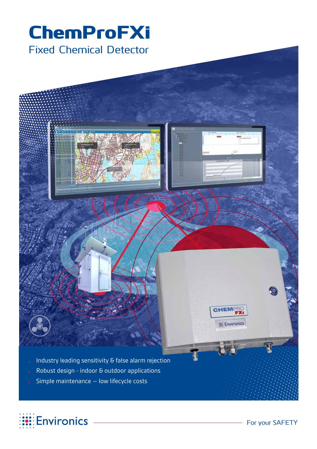## ChemProFXi Fixed Chemical Detector



- Robust design indoor & outdoor applications
- Simple maintenance  $-$  low lifecycle costs



**CHEMPRO** 

**HE Environics**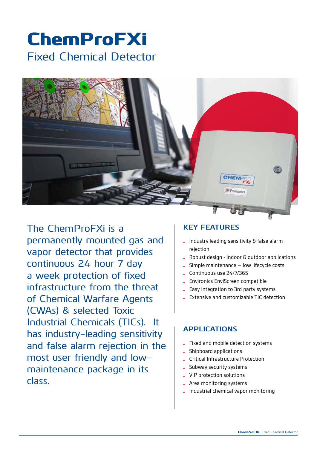# ChemProFXi Fixed Chemical Detector



The ChemProFXi is a permanently mounted gas and vapor detector that provides continuous 24 hour 7 day a week protection of fixed infrastructure from the threat of Chemical Warfare Agents (CWAs) & selected Toxic Industrial Chemicals (TICs). It has industry-leading sensitivity and false alarm rejection in the most user friendly and lowmaintenance package in its class.

#### **Key features**

- $\blacksquare$  Industry leading sensitivity & false alarm rejection
- Robust design indoor & outdoor applications
- Simple maintenance  $-$  low lifecycle costs
- Continuous use 24/7/365
- **Environics EnviScreen compatible**
- **Easy integration to 3rd party systems**
- Extensive and customizable TIC detection

#### **APPLICATIONS**

- **•** Fixed and mobile detection systems
- Shipboard applications
- **Critical Infrastructure Protection**
- Subway security systems
- VIP protection solutions
- Area monitoring systems
- • Industrial chemical vapor monitoring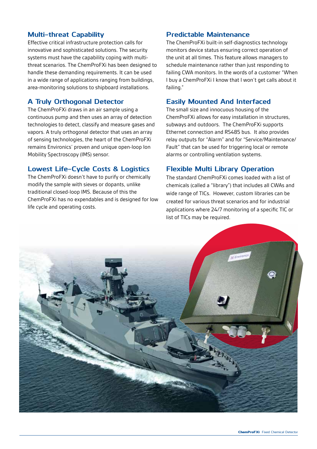#### **Multi-threat Capability**

Effective critical infrastructure protection calls for innovative and sophisticated solutions. The security systems must have the capability coping with multithreat scenarios. The ChemProFXi has been designed to handle these demanding requirements. It can be used in a wide range of applications ranging from buildings, area-monitoring solutions to shipboard installations.

#### **A Truly Orthogonal Detector**

The ChemProFXi draws in an air sample using a continuous pump and then uses an array of detection technologies to detect, classify and measure gases and vapors. A truly orthogonal detector that uses an array of sensing technologies, the heart of the ChemProFXi remains Environics' proven and unique open-loop Ion Mobility Spectroscopy (IMS) sensor.

#### **Lowest Life-Cycle Costs & Logistics**

The ChemProFXi doesn't have to purify or chemically modify the sample with sieves or dopants, unlike traditional closed-loop IMS. Because of this the ChemProFXi has no expendables and is designed for low life cycle and operating costs.

#### **Predictable Maintenance**

The ChemProFXi built-in self-diagnostics technology monitors device status ensuring correct operation of the unit at all times. This feature allows managers to schedule maintenance rather than just responding to failing CWA monitors. In the words of a customer "When I buy a ChemProFXi I know that I won't get calls about it failing."

#### **Easily Mounted And Interfaced**

The small size and innocuous housing of the ChemProFXi allows for easy installation in structures, subways and outdoors. The ChemProFXi supports Ethernet connection and RS485 bus. It also provides relay outputs for "Alarm" and for "Service/Maintenance/ Fault" that can be used for triggering local or remote alarms or controlling ventilation systems.

#### **Flexible Multi Library Operation**

The standard ChemProFXi comes loaded with a list of chemicals (called a "library") that includes all CWAs and wide range of TICs. However, custom libraries can be created for various threat scenarios and for industrial applications where 24/7 monitoring of a specific TIC or list of TICs may be required.